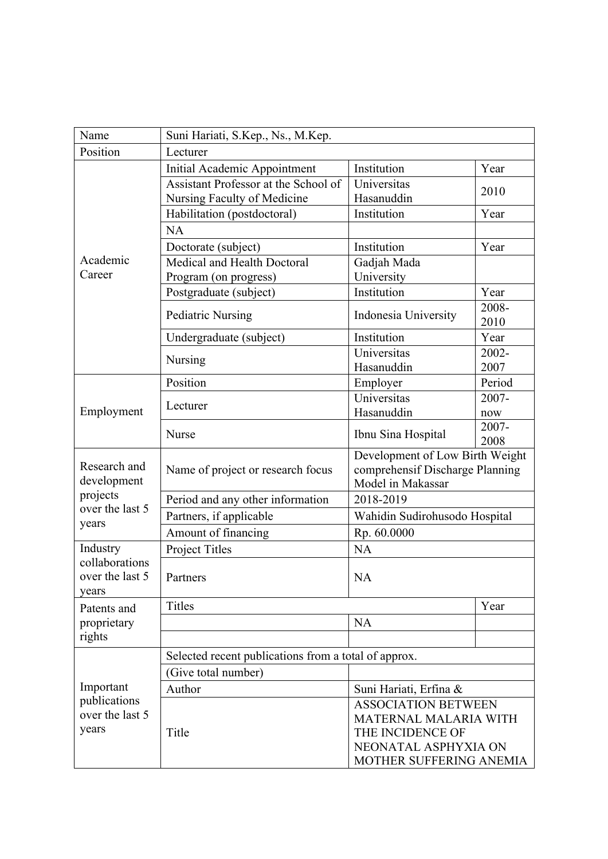| Name                                                                | Suni Hariati, S.Kep., Ns., M.Kep.                    |                                                                                         |               |  |
|---------------------------------------------------------------------|------------------------------------------------------|-----------------------------------------------------------------------------------------|---------------|--|
| Position                                                            | Lecturer                                             |                                                                                         |               |  |
| Academic<br>Career                                                  | Initial Academic Appointment                         | Institution                                                                             | Year          |  |
|                                                                     | Assistant Professor at the School of                 | Universitas                                                                             | 2010          |  |
|                                                                     | Nursing Faculty of Medicine                          | Hasanuddin                                                                              |               |  |
|                                                                     | Habilitation (postdoctoral)                          | Institution                                                                             | Year          |  |
|                                                                     | <b>NA</b>                                            |                                                                                         |               |  |
|                                                                     | Doctorate (subject)                                  | Institution                                                                             | Year          |  |
|                                                                     | Medical and Health Doctoral                          | Gadjah Mada                                                                             |               |  |
|                                                                     | Program (on progress)                                | University                                                                              |               |  |
|                                                                     | Postgraduate (subject)                               | Institution                                                                             | Year          |  |
|                                                                     | <b>Pediatric Nursing</b>                             | Indonesia University                                                                    | 2008-<br>2010 |  |
|                                                                     | Undergraduate (subject)                              | Institution                                                                             | Year          |  |
|                                                                     |                                                      | Universitas                                                                             | 2002-         |  |
|                                                                     | Nursing                                              | Hasanuddin                                                                              | 2007          |  |
|                                                                     | Position                                             | Employer                                                                                | Period        |  |
|                                                                     | Lecturer                                             | Universitas                                                                             | 2007-         |  |
| Employment                                                          |                                                      | Hasanuddin                                                                              | now           |  |
|                                                                     | Nurse                                                | Ibnu Sina Hospital                                                                      | 2007-<br>2008 |  |
| Research and<br>development<br>projects<br>over the last 5<br>years | Name of project or research focus                    | Development of Low Birth Weight<br>comprehensif Discharge Planning<br>Model in Makassar |               |  |
|                                                                     | Period and any other information                     | 2018-2019                                                                               |               |  |
|                                                                     | Partners, if applicable                              | Wahidin Sudirohusodo Hospital                                                           |               |  |
|                                                                     | Amount of financing                                  | Rp. 60.0000                                                                             |               |  |
| Industry<br>collaborations<br>over the last 5<br>years              | Project Titles                                       | <b>NA</b>                                                                               |               |  |
|                                                                     | Partners                                             | NA                                                                                      |               |  |
| Patents and<br>proprietary<br>rights                                | <b>Titles</b>                                        | Year                                                                                    |               |  |
|                                                                     |                                                      | <b>NA</b>                                                                               |               |  |
|                                                                     |                                                      |                                                                                         |               |  |
| Important<br>publications<br>over the last 5<br>years               | Selected recent publications from a total of approx. |                                                                                         |               |  |
|                                                                     | (Give total number)                                  |                                                                                         |               |  |
|                                                                     | Author                                               | Suni Hariati, Erfina &                                                                  |               |  |
|                                                                     |                                                      | <b>ASSOCIATION BETWEEN</b>                                                              |               |  |
|                                                                     | Title                                                | MATERNAL MALARIA WITH                                                                   |               |  |
|                                                                     |                                                      | THE INCIDENCE OF                                                                        |               |  |
|                                                                     |                                                      | NEONATAL ASPHYXIA ON                                                                    |               |  |
|                                                                     |                                                      | MOTHER SUFFERING ANEMIA                                                                 |               |  |